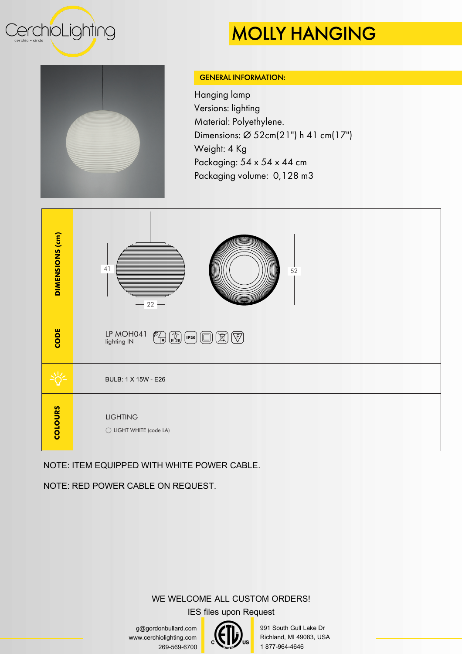

## MOLLY HANGING



#### GENERAL INFORMATION:

Hanging lamp Versions: lighting Material: Polyethylene. Dimensions: Ø 52cm(21") h 41 cm(17") Weight: 4 Kg Packaging:  $54 \times 54 \times 44$  cm Packaging volume: 0,128 m3



### NOTE: ITEM EQUIPPED WITH WHITE POWER CABLE.

NOTE: RED POWER CABLE ON REQUEST.

### WE WELCOME ALL CUSTOM ORDERS!

IES files upon Request

g@gordonbullard.com www.cerchiolighting.com 269-569-6700



991 South Gull Lake Dr Richland, MI 49083, USA 1 877-964-4646